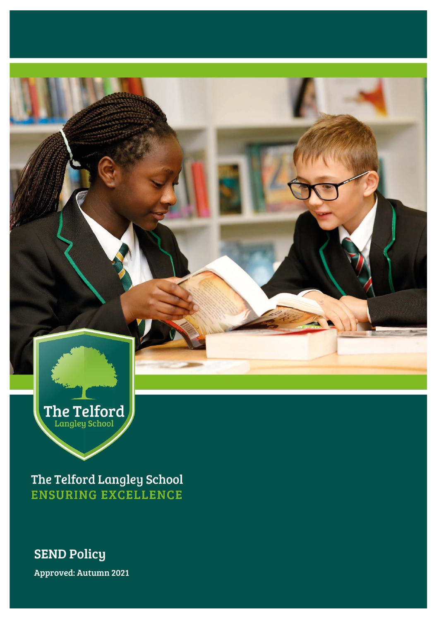

The Telford Langley School **ENSURING EXCELLENCE** 

# SEND Policy

Approved: Autumn 2021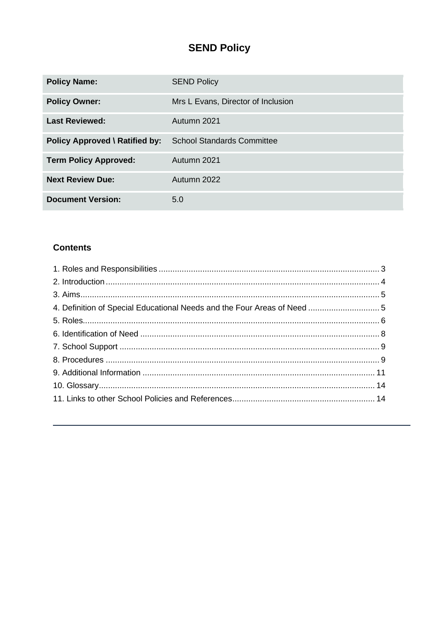# **SEND Policy**

| <b>Policy Name:</b>                   | <b>SEND Policy</b>                 |  |
|---------------------------------------|------------------------------------|--|
| <b>Policy Owner:</b>                  | Mrs L Evans, Director of Inclusion |  |
| <b>Last Reviewed:</b>                 | Autumn 2021                        |  |
| <b>Policy Approved \ Ratified by:</b> | <b>School Standards Committee</b>  |  |
| <b>Term Policy Approved:</b>          | Autumn 2021                        |  |
| <b>Next Review Due:</b>               | Autumn 2022                        |  |
| <b>Document Version:</b>              | 5.0                                |  |

## **Contents**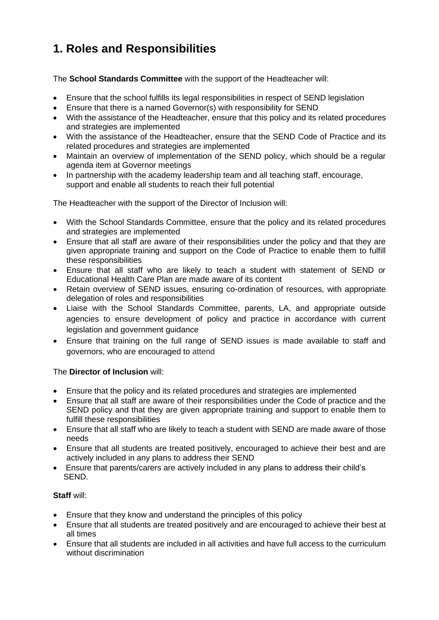# <span id="page-2-0"></span>**1. Roles and Responsibilities**

The **School Standards Committee** with the support of the Headteacher will:

- Ensure that the school fulfills its legal responsibilities in respect of SEND legislation
- Ensure that there is a named Governor(s) with responsibility for SEND
- With the assistance of the Headteacher, ensure that this policy and its related procedures and strategies are implemented
- With the assistance of the Headteacher, ensure that the SEND Code of Practice and its related procedures and strategies are implemented
- Maintain an overview of implementation of the SEND policy, which should be a regular agenda item at Governor meetings
- In partnership with the academy leadership team and all teaching staff, encourage, support and enable all students to reach their full potential

The Headteacher with the support of the Director of Inclusion will:

- With the School Standards Committee, ensure that the policy and its related procedures and strategies are implemented
- Ensure that all staff are aware of their responsibilities under the policy and that they are given appropriate training and support on the Code of Practice to enable them to fulfill these responsibilities
- Ensure that all staff who are likely to teach a student with statement of SEND or Educational Health Care Plan are made aware of its content
- Retain overview of SEND issues, ensuring co-ordination of resources, with appropriate delegation of roles and responsibilities
- Liaise with the School Standards Committee, parents, LA, and appropriate outside agencies to ensure development of policy and practice in accordance with current legislation and government guidance
- Ensure that training on the full range of SEND issues is made available to staff and governors, who are encouraged to attend

## The **Director of Inclusion** will:

- Ensure that the policy and its related procedures and strategies are implemented
- Ensure that all staff are aware of their responsibilities under the Code of practice and the SEND policy and that they are given appropriate training and support to enable them to fulfill these responsibilities
- Ensure that all staff who are likely to teach a student with SEND are made aware of those needs
- Ensure that all students are treated positively, encouraged to achieve their best and are actively included in any plans to address their SEND
- Ensure that parents/carers are actively included in any plans to address their child's SEND.

## **Staff** will:

- Ensure that they know and understand the principles of this policy
- Ensure that all students are treated positively and are encouraged to achieve their best at all times
- Ensure that all students are included in all activities and have full access to the curriculum without discrimination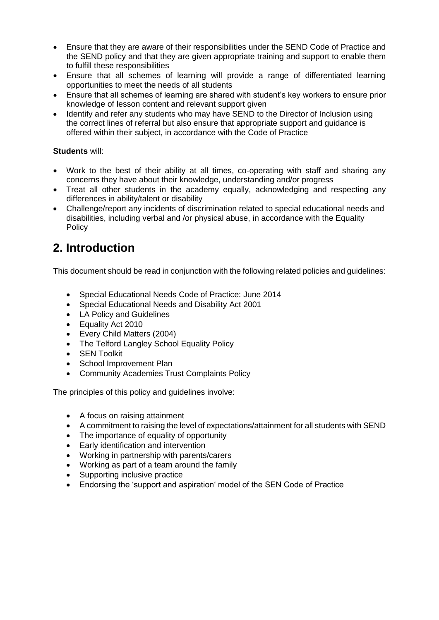- Ensure that they are aware of their responsibilities under the SEND Code of Practice and the SEND policy and that they are given appropriate training and support to enable them to fulfill these responsibilities
- Ensure that all schemes of learning will provide a range of differentiated learning opportunities to meet the needs of all students
- Ensure that all schemes of learning are shared with student's key workers to ensure prior knowledge of lesson content and relevant support given
- Identify and refer any students who may have SEND to the Director of Inclusion using the correct lines of referral but also ensure that appropriate support and guidance is offered within their subject, in accordance with the Code of Practice

## **Students** will:

- Work to the best of their ability at all times, co-operating with staff and sharing any concerns they have about their knowledge, understanding and/or progress
- Treat all other students in the academy equally, acknowledging and respecting any differences in ability/talent or disability
- Challenge/report any incidents of discrimination related to special educational needs and disabilities, including verbal and /or physical abuse, in accordance with the Equality **Policy**

## <span id="page-3-0"></span>**2. Introduction**

This document should be read in conjunction with the following related policies and guidelines:

- Special Educational Needs Code of Practice: June 2014
- Special Educational Needs and Disability Act 2001
- LA Policy and Guidelines
- Equality Act 2010
- Every Child Matters (2004)
- The Telford Langley School Equality Policy
- SEN Toolkit
- School Improvement Plan
- Community Academies Trust Complaints Policy

The principles of this policy and guidelines involve:

- A focus on raising attainment
- A commitment to raising the level of expectations/attainment for all students with SEND
- The importance of equality of opportunity
- Early identification and intervention
- Working in partnership with parents/carers
- Working as part of a team around the family
- Supporting inclusive practice
- Endorsing the 'support and aspiration' model of the SEN Code of Practice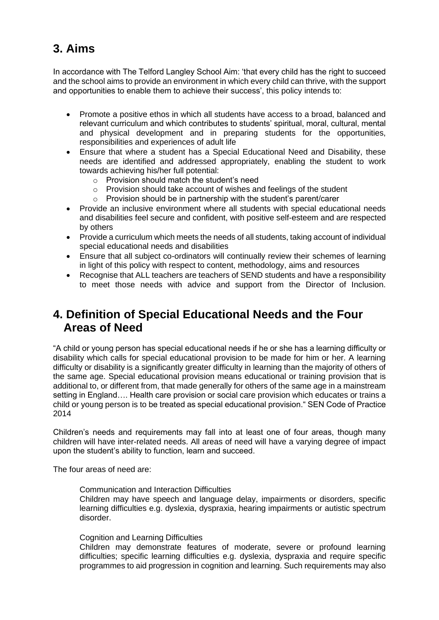# <span id="page-4-0"></span>**3. Aims**

In accordance with The Telford Langley School Aim: 'that every child has the right to succeed and the school aims to provide an environment in which every child can thrive, with the support and opportunities to enable them to achieve their success', this policy intends to:

- Promote a positive ethos in which all students have access to a broad, balanced and relevant curriculum and which contributes to students' spiritual, moral, cultural, mental and physical development and in preparing students for the opportunities, responsibilities and experiences of adult life
- Ensure that where a student has a Special Educational Need and Disability, these needs are identified and addressed appropriately, enabling the student to work towards achieving his/her full potential:
	- o Provision should match the student's need
	- o Provision should take account of wishes and feelings of the student
	- o Provision should be in partnership with the student's parent/carer
- Provide an inclusive environment where all students with special educational needs and disabilities feel secure and confident, with positive self-esteem and are respected by others
- Provide a curriculum which meets the needs of all students, taking account of individual special educational needs and disabilities
- Ensure that all subject co-ordinators will continually review their schemes of learning in light of this policy with respect to content, methodology, aims and resources
- Recognise that ALL teachers are teachers of SEND students and have a responsibility to meet those needs with advice and support from the Director of Inclusion.

## <span id="page-4-1"></span>**4. Definition of Special Educational Needs and the Four Areas of Need**

"A child or young person has special educational needs if he or she has a learning difficulty or disability which calls for special educational provision to be made for him or her. A learning difficulty or disability is a significantly greater difficulty in learning than the majority of others of the same age. Special educational provision means educational or training provision that is additional to, or different from, that made generally for others of the same age in a mainstream setting in England…. Health care provision or social care provision which educates or trains a child or young person is to be treated as special educational provision." SEN Code of Practice 2014

Children's needs and requirements may fall into at least one of four areas, though many children will have inter-related needs. All areas of need will have a varying degree of impact upon the student's ability to function, learn and succeed.

The four areas of need are:

Communication and Interaction Difficulties

Children may have speech and language delay, impairments or disorders, specific learning difficulties e.g. dyslexia, dyspraxia, hearing impairments or autistic spectrum disorder.

Cognition and Learning Difficulties

Children may demonstrate features of moderate, severe or profound learning difficulties; specific learning difficulties e.g. dyslexia, dyspraxia and require specific programmes to aid progression in cognition and learning. Such requirements may also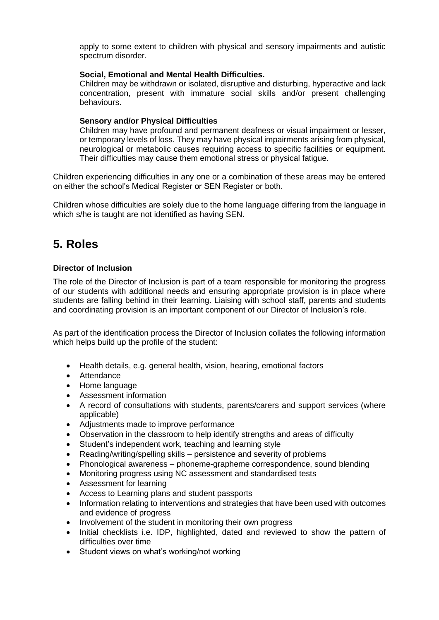apply to some extent to children with physical and sensory impairments and autistic spectrum disorder.

#### **Social, Emotional and Mental Health Difficulties.**

Children may be withdrawn or isolated, disruptive and disturbing, hyperactive and lack concentration, present with immature social skills and/or present challenging behaviours.

#### **Sensory and/or Physical Difficulties**

Children may have profound and permanent deafness or visual impairment or lesser, or temporary levels of loss. They may have physical impairments arising from physical, neurological or metabolic causes requiring access to specific facilities or equipment. Their difficulties may cause them emotional stress or physical fatigue.

Children experiencing difficulties in any one or a combination of these areas may be entered on either the school's Medical Register or SEN Register or both.

Children whose difficulties are solely due to the home language differing from the language in which s/he is taught are not identified as having SEN.

## <span id="page-5-0"></span>**5. Roles**

#### **Director of Inclusion**

The role of the Director of Inclusion is part of a team responsible for monitoring the progress of our students with additional needs and ensuring appropriate provision is in place where students are falling behind in their learning. Liaising with school staff, parents and students and coordinating provision is an important component of our Director of Inclusion's role.

As part of the identification process the Director of Inclusion collates the following information which helps build up the profile of the student:

- Health details, e.g. general health, vision, hearing, emotional factors
- Attendance
- Home language
- Assessment information
- A record of consultations with students, parents/carers and support services (where applicable)
- Adjustments made to improve performance
- Observation in the classroom to help identify strengths and areas of difficulty
- Student's independent work, teaching and learning style
- Reading/writing/spelling skills persistence and severity of problems
- Phonological awareness phoneme-grapheme correspondence, sound blending
- Monitoring progress using NC assessment and standardised tests
- Assessment for learning
- Access to Learning plans and student passports
- Information relating to interventions and strategies that have been used with outcomes and evidence of progress
- Involvement of the student in monitoring their own progress
- Initial checklists i.e. IDP, highlighted, dated and reviewed to show the pattern of difficulties over time
- Student views on what's working/not working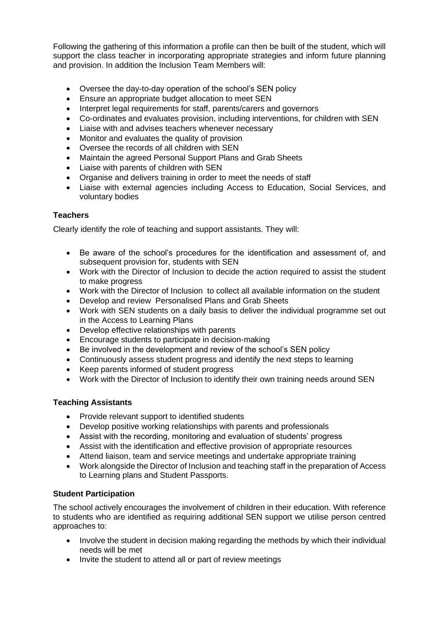Following the gathering of this information a profile can then be built of the student, which will support the class teacher in incorporating appropriate strategies and inform future planning and provision. In addition the Inclusion Team Members will:

- Oversee the day-to-day operation of the school's SEN policy
- Ensure an appropriate budget allocation to meet SEN
- Interpret legal requirements for staff, parents/carers and governors
- Co-ordinates and evaluates provision, including interventions, for children with SEN
- Liaise with and advises teachers whenever necessary
- Monitor and evaluates the quality of provision
- Oversee the records of all children with SEN
- Maintain the agreed Personal Support Plans and Grab Sheets
- Liaise with parents of children with SEN
- Organise and delivers training in order to meet the needs of staff
- Liaise with external agencies including Access to Education, Social Services, and voluntary bodies

## **Teachers**

Clearly identify the role of teaching and support assistants. They will:

- Be aware of the school's procedures for the identification and assessment of, and subsequent provision for, students with SEN
- Work with the Director of Inclusion to decide the action required to assist the student to make progress
- Work with the Director of Inclusion to collect all available information on the student
- Develop and review Personalised Plans and Grab Sheets
- Work with SEN students on a daily basis to deliver the individual programme set out in the Access to Learning Plans
- Develop effective relationships with parents
- Encourage students to participate in decision-making
- Be involved in the development and review of the school's SEN policy
- Continuously assess student progress and identify the next steps to learning
- Keep parents informed of student progress
- Work with the Director of Inclusion to identify their own training needs around SEN

## **Teaching Assistants**

- Provide relevant support to identified students
- Develop positive working relationships with parents and professionals
- Assist with the recording, monitoring and evaluation of students' progress
- Assist with the identification and effective provision of appropriate resources
- Attend liaison, team and service meetings and undertake appropriate training
- Work alongside the Director of Inclusion and teaching staff in the preparation of Access to Learning plans and Student Passports.

## **Student Participation**

The school actively encourages the involvement of children in their education. With reference to students who are identified as requiring additional SEN support we utilise person centred approaches to:

- Involve the student in decision making regarding the methods by which their individual needs will be met
- Invite the student to attend all or part of review meetings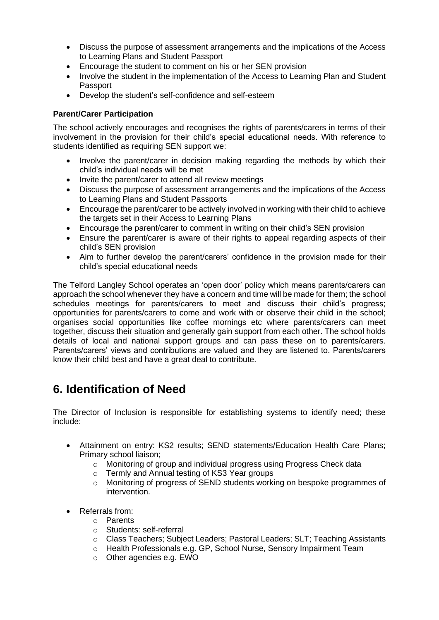- Discuss the purpose of assessment arrangements and the implications of the Access to Learning Plans and Student Passport
- Encourage the student to comment on his or her SEN provision
- Involve the student in the implementation of the Access to Learning Plan and Student Passport
- Develop the student's self-confidence and self-esteem

#### **Parent/Carer Participation**

The school actively encourages and recognises the rights of parents/carers in terms of their involvement in the provision for their child's special educational needs. With reference to students identified as requiring SEN support we:

- Involve the parent/carer in decision making regarding the methods by which their child's individual needs will be met
- Invite the parent/carer to attend all review meetings
- Discuss the purpose of assessment arrangements and the implications of the Access to Learning Plans and Student Passports
- Encourage the parent/carer to be actively involved in working with their child to achieve the targets set in their Access to Learning Plans
- Encourage the parent/carer to comment in writing on their child's SEN provision
- Ensure the parent/carer is aware of their rights to appeal regarding aspects of their child's SEN provision
- Aim to further develop the parent/carers' confidence in the provision made for their child's special educational needs

The Telford Langley School operates an 'open door' policy which means parents/carers can approach the school whenever they have a concern and time will be made for them; the school schedules meetings for parents/carers to meet and discuss their child's progress; opportunities for parents/carers to come and work with or observe their child in the school; organises social opportunities like coffee mornings etc where parents/carers can meet together, discuss their situation and generally gain support from each other. The school holds details of local and national support groups and can pass these on to parents/carers. Parents/carers' views and contributions are valued and they are listened to. Parents/carers know their child best and have a great deal to contribute.

## <span id="page-7-0"></span>**6. Identification of Need**

The Director of Inclusion is responsible for establishing systems to identify need; these include:

- Attainment on entry: KS2 results; SEND statements/Education Health Care Plans; Primary school liaison;
	- o Monitoring of group and individual progress using Progress Check data
	- o Termly and Annual testing of KS3 Year groups
	- o Monitoring of progress of SEND students working on bespoke programmes of intervention.
- Referrals from:
	- o Parents
	- o Students: self-referral
	- o Class Teachers; Subject Leaders; Pastoral Leaders; SLT; Teaching Assistants
	- o Health Professionals e.g. GP, School Nurse, Sensory Impairment Team
	- o Other agencies e.g. EWO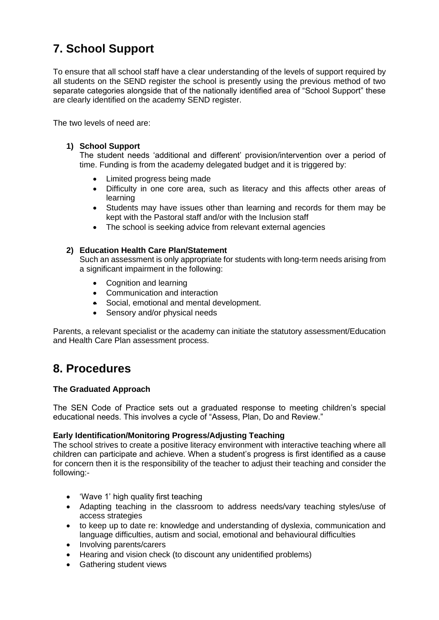# <span id="page-8-0"></span>**7. School Support**

To ensure that all school staff have a clear understanding of the levels of support required by all students on the SEND register the school is presently using the previous method of two separate categories alongside that of the nationally identified area of "School Support" these are clearly identified on the academy SEND register.

The two levels of need are:

#### **1) School Support**

The student needs 'additional and different' provision/intervention over a period of time. Funding is from the academy delegated budget and it is triggered by:

- Limited progress being made
- Difficulty in one core area, such as literacy and this affects other areas of learning
- Students may have issues other than learning and records for them may be kept with the Pastoral staff and/or with the Inclusion staff
- The school is seeking advice from relevant external agencies

#### **2) Education Health Care Plan/Statement**

Such an assessment is only appropriate for students with long-term needs arising from a significant impairment in the following:

- Cognition and learning
- Communication and interaction
- Social, emotional and mental development.
- Sensory and/or physical needs

Parents, a relevant specialist or the academy can initiate the statutory assessment/Education and Health Care Plan assessment process.

## <span id="page-8-1"></span>**8. Procedures**

#### **The Graduated Approach**

The SEN Code of Practice sets out a graduated response to meeting children's special educational needs. This involves a cycle of "Assess, Plan, Do and Review."

#### **Early Identification/Monitoring Progress/Adjusting Teaching**

The school strives to create a positive literacy environment with interactive teaching where all children can participate and achieve. When a student's progress is first identified as a cause for concern then it is the responsibility of the teacher to adjust their teaching and consider the following:-

- 'Wave 1' high quality first teaching
- Adapting teaching in the classroom to address needs/vary teaching styles/use of access strategies
- to keep up to date re: knowledge and understanding of dyslexia, communication and language difficulties, autism and social, emotional and behavioural difficulties
- Involving parents/carers
- Hearing and vision check (to discount any unidentified problems)
- Gathering student views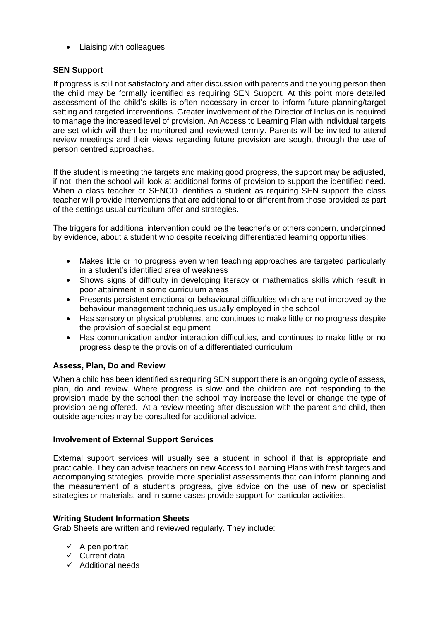• Liaising with colleagues

#### **SEN Support**

If progress is still not satisfactory and after discussion with parents and the young person then the child may be formally identified as requiring SEN Support. At this point more detailed assessment of the child's skills is often necessary in order to inform future planning/target setting and targeted interventions. Greater involvement of the Director of Inclusion is required to manage the increased level of provision. An Access to Learning Plan with individual targets are set which will then be monitored and reviewed termly. Parents will be invited to attend review meetings and their views regarding future provision are sought through the use of person centred approaches.

If the student is meeting the targets and making good progress, the support may be adjusted, if not, then the school will look at additional forms of provision to support the identified need. When a class teacher or SENCO identifies a student as requiring SEN support the class teacher will provide interventions that are additional to or different from those provided as part of the settings usual curriculum offer and strategies.

The triggers for additional intervention could be the teacher's or others concern, underpinned by evidence, about a student who despite receiving differentiated learning opportunities:

- Makes little or no progress even when teaching approaches are targeted particularly in a student's identified area of weakness
- Shows signs of difficulty in developing literacy or mathematics skills which result in poor attainment in some curriculum areas
- Presents persistent emotional or behavioural difficulties which are not improved by the behaviour management techniques usually employed in the school
- Has sensory or physical problems, and continues to make little or no progress despite the provision of specialist equipment
- Has communication and/or interaction difficulties, and continues to make little or no progress despite the provision of a differentiated curriculum

#### **Assess, Plan, Do and Review**

When a child has been identified as requiring SEN support there is an ongoing cycle of assess, plan, do and review. Where progress is slow and the children are not responding to the provision made by the school then the school may increase the level or change the type of provision being offered. At a review meeting after discussion with the parent and child, then outside agencies may be consulted for additional advice.

#### **Involvement of External Support Services**

External support services will usually see a student in school if that is appropriate and practicable. They can advise teachers on new Access to Learning Plans with fresh targets and accompanying strategies, provide more specialist assessments that can inform planning and the measurement of a student's progress, give advice on the use of new or specialist strategies or materials, and in some cases provide support for particular activities.

#### **Writing Student Information Sheets**

Grab Sheets are written and reviewed regularly. They include:

- $\checkmark$  A pen portrait
- ✓ Current data
- ✓ Additional needs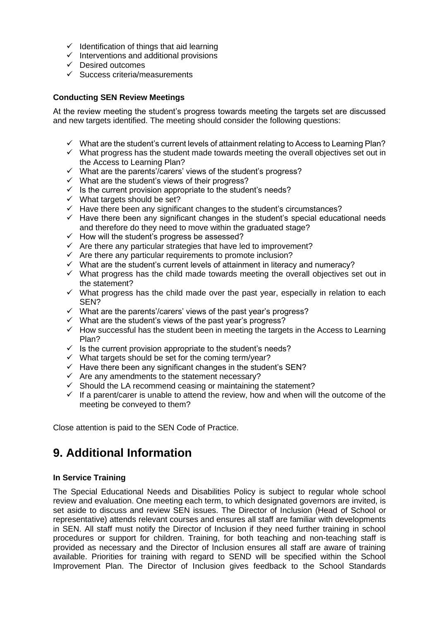- $\checkmark$  Identification of things that aid learning
- $\checkmark$  Interventions and additional provisions
- ✓ Desired outcomes
- ✓ Success criteria/measurements

#### **Conducting SEN Review Meetings**

At the review meeting the student's progress towards meeting the targets set are discussed and new targets identified. The meeting should consider the following questions:

- ✓ What are the student's current levels of attainment relating to Access to Learning Plan?
- $\checkmark$  What progress has the student made towards meeting the overall objectives set out in the Access to Learning Plan?
- ✓ What are the parents'/carers' views of the student's progress?
- ✓ What are the student's views of their progress?
- $\checkmark$  Is the current provision appropriate to the student's needs?
- $\checkmark$  What targets should be set?
- $\checkmark$  Have there been any significant changes to the student's circumstances?
- $\checkmark$  Have there been any significant changes in the student's special educational needs and therefore do they need to move within the graduated stage?
- $\checkmark$  How will the student's progress be assessed?
- $\checkmark$  Are there any particular strategies that have led to improvement?
- $\checkmark$  Are there any particular requirements to promote inclusion?
- $\checkmark$  What are the student's current levels of attainment in literacy and numeracy?
- $\checkmark$  What progress has the child made towards meeting the overall objectives set out in the statement?
- $\checkmark$  What progress has the child made over the past year, especially in relation to each SEN?
- $\checkmark$  What are the parents'/carers' views of the past year's progress?
- ✓ What are the student's views of the past year's progress?
- $\checkmark$  How successful has the student been in meeting the targets in the Access to Learning Plan?
- $\checkmark$  Is the current provision appropriate to the student's needs?
- ✓ What targets should be set for the coming term/year?
- $\checkmark$  Have there been any significant changes in the student's SEN?
- $\checkmark$  Are any amendments to the statement necessary?
- $\checkmark$  Should the LA recommend ceasing or maintaining the statement?
- $\checkmark$  If a parent/carer is unable to attend the review, how and when will the outcome of the meeting be conveyed to them?

Close attention is paid to the SEN Code of Practice.

# <span id="page-10-0"></span>**9. Additional Information**

#### **In Service Training**

The Special Educational Needs and Disabilities Policy is subject to regular whole school review and evaluation. One meeting each term, to which designated governors are invited, is set aside to discuss and review SEN issues. The Director of Inclusion (Head of School or representative) attends relevant courses and ensures all staff are familiar with developments in SEN. All staff must notify the Director of Inclusion if they need further training in school procedures or support for children. Training, for both teaching and non-teaching staff is provided as necessary and the Director of Inclusion ensures all staff are aware of training available. Priorities for training with regard to SEND will be specified within the School Improvement Plan. The Director of Inclusion gives feedback to the School Standards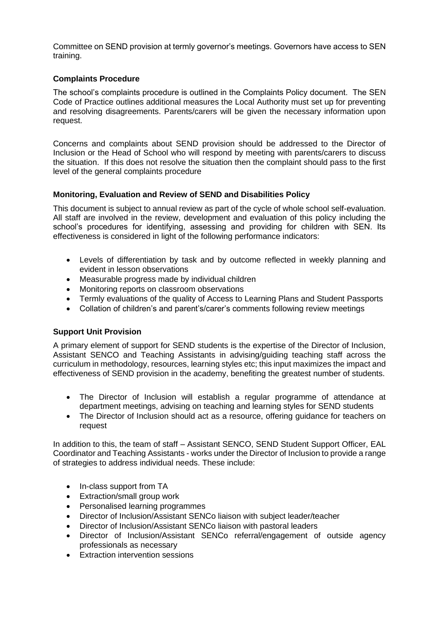Committee on SEND provision at termly governor's meetings. Governors have access to SEN training.

#### **Complaints Procedure**

The school's complaints procedure is outlined in the Complaints Policy document. The SEN Code of Practice outlines additional measures the Local Authority must set up for preventing and resolving disagreements. Parents/carers will be given the necessary information upon request.

Concerns and complaints about SEND provision should be addressed to the Director of Inclusion or the Head of School who will respond by meeting with parents/carers to discuss the situation. If this does not resolve the situation then the complaint should pass to the first level of the general complaints procedure

#### **Monitoring, Evaluation and Review of SEND and Disabilities Policy**

This document is subject to annual review as part of the cycle of whole school self-evaluation. All staff are involved in the review, development and evaluation of this policy including the school's procedures for identifying, assessing and providing for children with SEN. Its effectiveness is considered in light of the following performance indicators:

- Levels of differentiation by task and by outcome reflected in weekly planning and evident in lesson observations
- Measurable progress made by individual children
- Monitoring reports on classroom observations
- Termly evaluations of the quality of Access to Learning Plans and Student Passports
- Collation of children's and parent's/carer's comments following review meetings

## **Support Unit Provision**

A primary element of support for SEND students is the expertise of the Director of Inclusion, Assistant SENCO and Teaching Assistants in advising/guiding teaching staff across the curriculum in methodology, resources, learning styles etc; this input maximizes the impact and effectiveness of SEND provision in the academy, benefiting the greatest number of students.

- The Director of Inclusion will establish a regular programme of attendance at department meetings, advising on teaching and learning styles for SEND students
- The Director of Inclusion should act as a resource, offering guidance for teachers on request

In addition to this, the team of staff – Assistant SENCO, SEND Student Support Officer, EAL Coordinator and Teaching Assistants - works under the Director of Inclusion to provide a range of strategies to address individual needs. These include:

- In-class support from TA
- Extraction/small group work
- Personalised learning programmes
- Director of Inclusion/Assistant SENCo liaison with subject leader/teacher
- Director of Inclusion/Assistant SENCo liaison with pastoral leaders
- Director of Inclusion/Assistant SENCo referral/engagement of outside agency professionals as necessary
- Extraction intervention sessions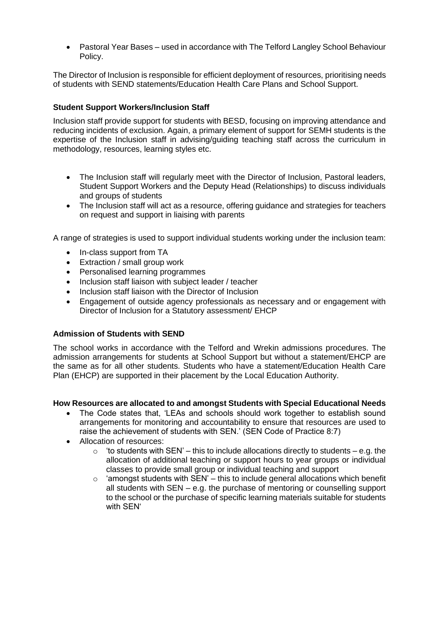• Pastoral Year Bases – used in accordance with The Telford Langley School Behaviour Policy.

The Director of Inclusion is responsible for efficient deployment of resources, prioritising needs of students with SEND statements/Education Health Care Plans and School Support.

#### **Student Support Workers/Inclusion Staff**

Inclusion staff provide support for students with BESD, focusing on improving attendance and reducing incidents of exclusion. Again, a primary element of support for SEMH students is the expertise of the Inclusion staff in advising/guiding teaching staff across the curriculum in methodology, resources, learning styles etc.

- The Inclusion staff will regularly meet with the Director of Inclusion, Pastoral leaders, Student Support Workers and the Deputy Head (Relationships) to discuss individuals and groups of students
- The Inclusion staff will act as a resource, offering guidance and strategies for teachers on request and support in liaising with parents

A range of strategies is used to support individual students working under the inclusion team:

- In-class support from TA
- Extraction / small group work
- Personalised learning programmes
- Inclusion staff liaison with subject leader / teacher
- Inclusion staff liaison with the Director of Inclusion
- Engagement of outside agency professionals as necessary and or engagement with Director of Inclusion for a Statutory assessment/ EHCP

#### **Admission of Students with SEND**

The school works in accordance with the Telford and Wrekin admissions procedures. The admission arrangements for students at School Support but without a statement/EHCP are the same as for all other students. Students who have a statement/Education Health Care Plan (EHCP) are supported in their placement by the Local Education Authority.

#### **How Resources are allocated to and amongst Students with Special Educational Needs**

- The Code states that, 'LEAs and schools should work together to establish sound arrangements for monitoring and accountability to ensure that resources are used to raise the achievement of students with SEN.' (SEN Code of Practice 8:7)
- Allocation of resources:
	- $\circ$  'to students with SEN' this to include allocations directly to students e.g. the allocation of additional teaching or support hours to year groups or individual classes to provide small group or individual teaching and support
	- $\circ$  'amongst students with SEN' this to include general allocations which benefit all students with  $SEN - e.g.$  the purchase of mentoring or counselling support to the school or the purchase of specific learning materials suitable for students with SEN'